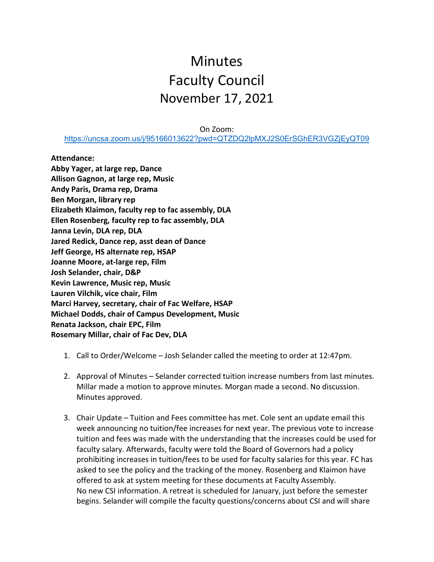## **Minutes** Faculty Council November 17, 2021

On Zoom:

<https://uncsa.zoom.us/j/95166013622?pwd=QTZDQ2lpMXJ2S0ErSGhER3VGZjEyQT09>

**Attendance:**

**Abby Yager, at large rep, Dance Allison Gagnon, at large rep, Music Andy Paris, Drama rep, Drama Ben Morgan, library rep Elizabeth Klaimon, faculty rep to fac assembly, DLA Ellen Rosenberg, faculty rep to fac assembly, DLA Janna Levin, DLA rep, DLA Jared Redick, Dance rep, asst dean of Dance Jeff George, HS alternate rep, HSAP Joanne Moore, at-large rep, Film Josh Selander, chair, D&P Kevin Lawrence, Music rep, Music Lauren Vilchik, vice chair, Film Marci Harvey, secretary, chair of Fac Welfare, HSAP Michael Dodds, chair of Campus Development, Music Renata Jackson, chair EPC, Film Rosemary Millar, chair of Fac Dev, DLA**

- 1. Call to Order/Welcome Josh Selander called the meeting to order at 12:47pm.
- 2. Approval of Minutes Selander corrected tuition increase numbers from last minutes. Millar made a motion to approve minutes. Morgan made a second. No discussion. Minutes approved.
- 3. Chair Update Tuition and Fees committee has met. Cole sent an update email this week announcing no tuition/fee increases for next year. The previous vote to increase tuition and fees was made with the understanding that the increases could be used for faculty salary. Afterwards, faculty were told the Board of Governors had a policy prohibiting increases in tuition/fees to be used for faculty salaries for this year. FC has asked to see the policy and the tracking of the money. Rosenberg and Klaimon have offered to ask at system meeting for these documents at Faculty Assembly. No new CSI information. A retreat is scheduled for January, just before the semester begins. Selander will compile the faculty questions/concerns about CSI and will share